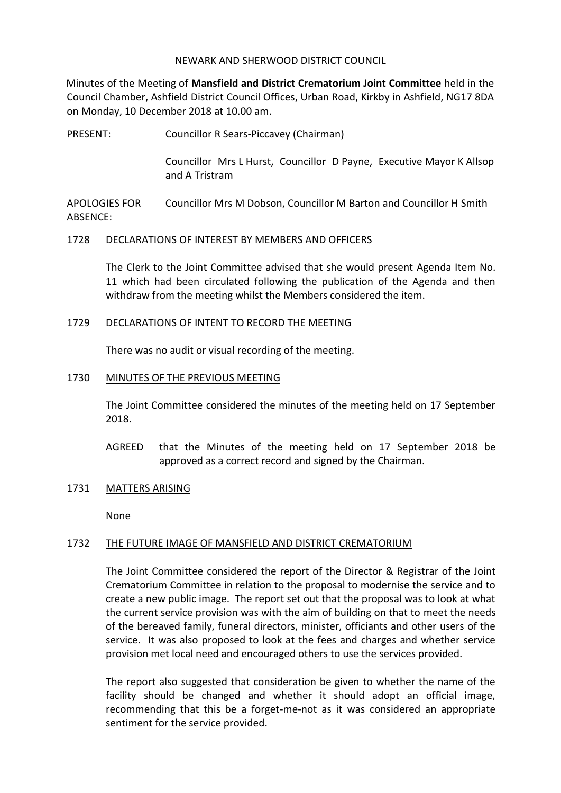### NEWARK AND SHERWOOD DISTRICT COUNCIL

Minutes of the Meeting of **Mansfield and District Crematorium Joint Committee** held in the Council Chamber, Ashfield District Council Offices, Urban Road, Kirkby in Ashfield, NG17 8DA on Monday, 10 December 2018 at 10.00 am.

PRESENT: Councillor R Sears-Piccavey (Chairman)

Councillor Mrs L Hurst, Councillor D Payne, Executive Mayor K Allsop and A Tristram

APOLOGIES FOR ABSENCE: Councillor Mrs M Dobson, Councillor M Barton and Councillor H Smith

## 1728 DECLARATIONS OF INTEREST BY MEMBERS AND OFFICERS

The Clerk to the Joint Committee advised that she would present Agenda Item No. 11 which had been circulated following the publication of the Agenda and then withdraw from the meeting whilst the Members considered the item.

#### 1729 DECLARATIONS OF INTENT TO RECORD THE MEETING

There was no audit or visual recording of the meeting.

#### 1730 MINUTES OF THE PREVIOUS MEETING

The Joint Committee considered the minutes of the meeting held on 17 September 2018.

- AGREED that the Minutes of the meeting held on 17 September 2018 be approved as a correct record and signed by the Chairman.
- 1731 MATTERS ARISING

None

## 1732 THE FUTURE IMAGE OF MANSFIELD AND DISTRICT CREMATORIUM

The Joint Committee considered the report of the Director & Registrar of the Joint Crematorium Committee in relation to the proposal to modernise the service and to create a new public image. The report set out that the proposal was to look at what the current service provision was with the aim of building on that to meet the needs of the bereaved family, funeral directors, minister, officiants and other users of the service. It was also proposed to look at the fees and charges and whether service provision met local need and encouraged others to use the services provided.

The report also suggested that consideration be given to whether the name of the facility should be changed and whether it should adopt an official image, recommending that this be a forget-me-not as it was considered an appropriate sentiment for the service provided.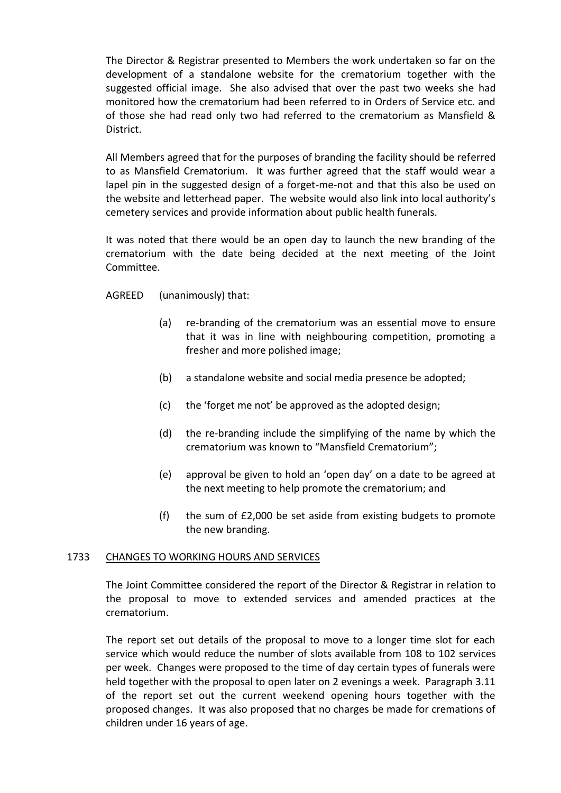The Director & Registrar presented to Members the work undertaken so far on the development of a standalone website for the crematorium together with the suggested official image. She also advised that over the past two weeks she had monitored how the crematorium had been referred to in Orders of Service etc. and of those she had read only two had referred to the crematorium as Mansfield & District.

All Members agreed that for the purposes of branding the facility should be referred to as Mansfield Crematorium. It was further agreed that the staff would wear a lapel pin in the suggested design of a forget-me-not and that this also be used on the website and letterhead paper. The website would also link into local authority's cemetery services and provide information about public health funerals.

It was noted that there would be an open day to launch the new branding of the crematorium with the date being decided at the next meeting of the Joint Committee.

AGREED (unanimously) that:

- (a) re-branding of the crematorium was an essential move to ensure that it was in line with neighbouring competition, promoting a fresher and more polished image;
- (b) a standalone website and social media presence be adopted;
- (c) the 'forget me not' be approved as the adopted design;
- (d) the re-branding include the simplifying of the name by which the crematorium was known to "Mansfield Crematorium";
- (e) approval be given to hold an 'open day' on a date to be agreed at the next meeting to help promote the crematorium; and
- (f) the sum of £2,000 be set aside from existing budgets to promote the new branding.

## 1733 CHANGES TO WORKING HOURS AND SERVICES

The Joint Committee considered the report of the Director & Registrar in relation to the proposal to move to extended services and amended practices at the crematorium.

The report set out details of the proposal to move to a longer time slot for each service which would reduce the number of slots available from 108 to 102 services per week. Changes were proposed to the time of day certain types of funerals were held together with the proposal to open later on 2 evenings a week. Paragraph 3.11 of the report set out the current weekend opening hours together with the proposed changes. It was also proposed that no charges be made for cremations of children under 16 years of age.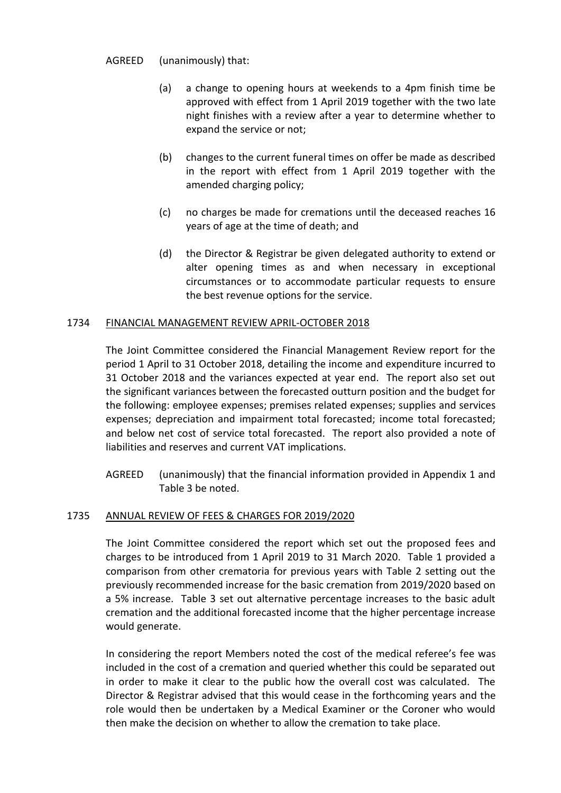AGREED (unanimously) that:

- (a) a change to opening hours at weekends to a 4pm finish time be approved with effect from 1 April 2019 together with the two late night finishes with a review after a year to determine whether to expand the service or not;
- (b) changes to the current funeral times on offer be made as described in the report with effect from 1 April 2019 together with the amended charging policy;
- (c) no charges be made for cremations until the deceased reaches 16 years of age at the time of death; and
- (d) the Director & Registrar be given delegated authority to extend or alter opening times as and when necessary in exceptional circumstances or to accommodate particular requests to ensure the best revenue options for the service.

# 1734 FINANCIAL MANAGEMENT REVIEW APRIL-OCTOBER 2018

The Joint Committee considered the Financial Management Review report for the period 1 April to 31 October 2018, detailing the income and expenditure incurred to 31 October 2018 and the variances expected at year end. The report also set out the significant variances between the forecasted outturn position and the budget for the following: employee expenses; premises related expenses; supplies and services expenses; depreciation and impairment total forecasted; income total forecasted; and below net cost of service total forecasted. The report also provided a note of liabilities and reserves and current VAT implications.

AGREED (unanimously) that the financial information provided in Appendix 1 and Table 3 be noted.

# 1735 ANNUAL REVIEW OF FEES & CHARGES FOR 2019/2020

The Joint Committee considered the report which set out the proposed fees and charges to be introduced from 1 April 2019 to 31 March 2020. Table 1 provided a comparison from other crematoria for previous years with Table 2 setting out the previously recommended increase for the basic cremation from 2019/2020 based on a 5% increase. Table 3 set out alternative percentage increases to the basic adult cremation and the additional forecasted income that the higher percentage increase would generate.

In considering the report Members noted the cost of the medical referee's fee was included in the cost of a cremation and queried whether this could be separated out in order to make it clear to the public how the overall cost was calculated. The Director & Registrar advised that this would cease in the forthcoming years and the role would then be undertaken by a Medical Examiner or the Coroner who would then make the decision on whether to allow the cremation to take place.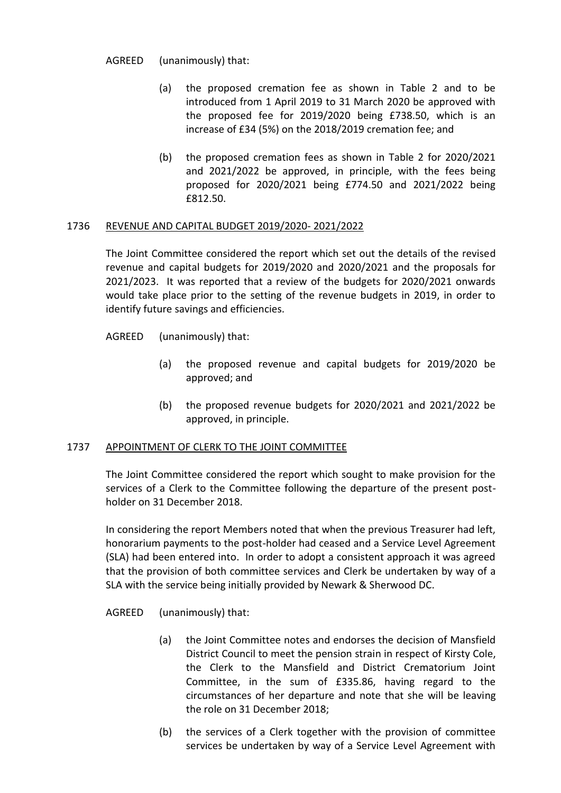AGREED (unanimously) that:

- (a) the proposed cremation fee as shown in Table 2 and to be introduced from 1 April 2019 to 31 March 2020 be approved with the proposed fee for 2019/2020 being £738.50, which is an increase of £34 (5%) on the 2018/2019 cremation fee; and
- (b) the proposed cremation fees as shown in Table 2 for 2020/2021 and 2021/2022 be approved, in principle, with the fees being proposed for 2020/2021 being £774.50 and 2021/2022 being £812.50.

## 1736 REVENUE AND CAPITAL BUDGET 2019/2020- 2021/2022

The Joint Committee considered the report which set out the details of the revised revenue and capital budgets for 2019/2020 and 2020/2021 and the proposals for 2021/2023. It was reported that a review of the budgets for 2020/2021 onwards would take place prior to the setting of the revenue budgets in 2019, in order to identify future savings and efficiencies.

- AGREED (unanimously) that:
	- (a) the proposed revenue and capital budgets for 2019/2020 be approved; and
	- (b) the proposed revenue budgets for 2020/2021 and 2021/2022 be approved, in principle.

## 1737 APPOINTMENT OF CLERK TO THE JOINT COMMITTEE

The Joint Committee considered the report which sought to make provision for the services of a Clerk to the Committee following the departure of the present postholder on 31 December 2018.

In considering the report Members noted that when the previous Treasurer had left, honorarium payments to the post-holder had ceased and a Service Level Agreement (SLA) had been entered into. In order to adopt a consistent approach it was agreed that the provision of both committee services and Clerk be undertaken by way of a SLA with the service being initially provided by Newark & Sherwood DC.

AGREED (unanimously) that:

- (a) the Joint Committee notes and endorses the decision of Mansfield District Council to meet the pension strain in respect of Kirsty Cole, the Clerk to the Mansfield and District Crematorium Joint Committee, in the sum of £335.86, having regard to the circumstances of her departure and note that she will be leaving the role on 31 December 2018;
- (b) the services of a Clerk together with the provision of committee services be undertaken by way of a Service Level Agreement with